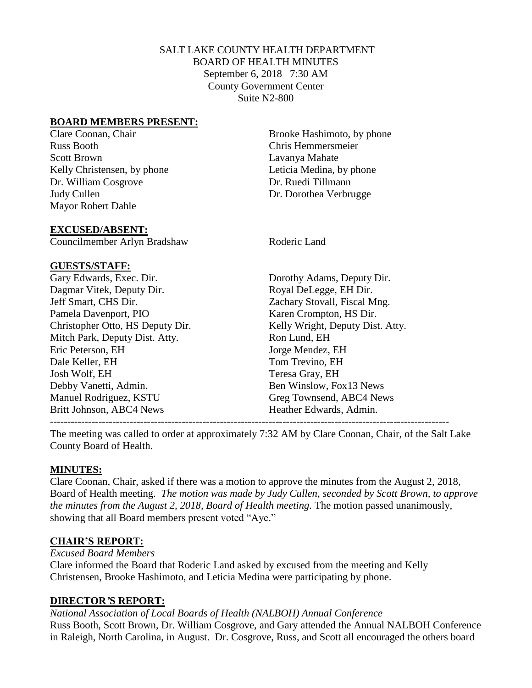# SALT LAKE COUNTY HEALTH DEPARTMENT BOARD OF HEALTH MINUTES September 6, 2018 7:30 AM County Government Center Suite N2-800

### **BOARD MEMBERS PRESENT:**

Russ Booth Chris Hemmersmeier Scott Brown Lavanya Mahate Kelly Christensen, by phone Leticia Medina, by phone Dr. William Cosgrove Dr. Ruedi Tillmann Judy Cullen Dr. Dorothea Verbrugge Mayor Robert Dahle

Clare Coonan, Chair Brooke Hashimoto, by phone

#### **EXCUSED/ABSENT:**

Councilmember Arlyn Bradshaw Roderic Land

#### **GUESTS/STAFF:**

Gary Edwards, Exec. Dir. Dorothy Adams, Deputy Dir. Dagmar Vitek, Deputy Dir. Royal DeLegge, EH Dir. Jeff Smart, CHS Dir. Zachary Stovall, Fiscal Mng. Pamela Davenport, PIO Karen Crompton, HS Dir. Christopher Otto, HS Deputy Dir. Kelly Wright, Deputy Dist. Atty. Mitch Park, Deputy Dist. Atty. Ron Lund, EH Eric Peterson, EH Jorge Mendez, EH Dale Keller, EH Tom Trevino, EH Josh Wolf, EH Teresa Gray, EH Debby Vanetti, Admin. Ben Winslow, Fox13 News Manuel Rodriguez, KSTU Greg Townsend, ABC4 News Britt Johnson, ABC4 News Heather Edwards, Admin. -------------------------------------------------------------------------------------------------------------------

The meeting was called to order at approximately 7:32 AM by Clare Coonan, Chair, of the Salt Lake County Board of Health.

#### **MINUTES:**

Clare Coonan, Chair, asked if there was a motion to approve the minutes from the August 2, 2018, Board of Health meeting. *The motion was made by Judy Cullen, seconded by Scott Brown, to approve the minutes from the August 2, 2018, Board of Health meeting.* The motion passed unanimously, showing that all Board members present voted "Aye."

# **CHAIR'S REPORT:**

*Excused Board Members*

Clare informed the Board that Roderic Land asked by excused from the meeting and Kelly Christensen, Brooke Hashimoto, and Leticia Medina were participating by phone.

#### **DIRECTOR***'***S REPORT:**

*National Association of Local Boards of Health (NALBOH) Annual Conference* Russ Booth, Scott Brown, Dr. William Cosgrove, and Gary attended the Annual NALBOH Conference in Raleigh, North Carolina, in August. Dr. Cosgrove, Russ, and Scott all encouraged the others board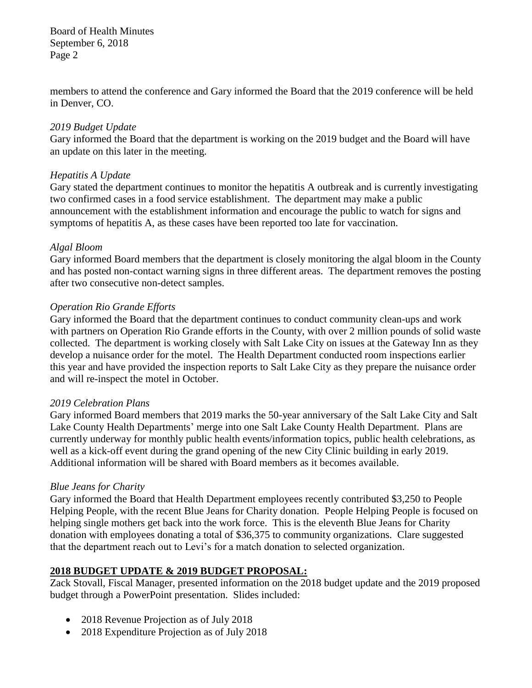members to attend the conference and Gary informed the Board that the 2019 conference will be held in Denver, CO.

### *2019 Budget Update*

Gary informed the Board that the department is working on the 2019 budget and the Board will have an update on this later in the meeting.

### *Hepatitis A Update*

Gary stated the department continues to monitor the hepatitis A outbreak and is currently investigating two confirmed cases in a food service establishment. The department may make a public announcement with the establishment information and encourage the public to watch for signs and symptoms of hepatitis A, as these cases have been reported too late for vaccination.

#### *Algal Bloom*

Gary informed Board members that the department is closely monitoring the algal bloom in the County and has posted non-contact warning signs in three different areas. The department removes the posting after two consecutive non-detect samples.

### *Operation Rio Grande Efforts*

Gary informed the Board that the department continues to conduct community clean-ups and work with partners on Operation Rio Grande efforts in the County, with over 2 million pounds of solid waste collected. The department is working closely with Salt Lake City on issues at the Gateway Inn as they develop a nuisance order for the motel. The Health Department conducted room inspections earlier this year and have provided the inspection reports to Salt Lake City as they prepare the nuisance order and will re-inspect the motel in October.

#### *2019 Celebration Plans*

Gary informed Board members that 2019 marks the 50-year anniversary of the Salt Lake City and Salt Lake County Health Departments' merge into one Salt Lake County Health Department. Plans are currently underway for monthly public health events/information topics, public health celebrations, as well as a kick-off event during the grand opening of the new City Clinic building in early 2019. Additional information will be shared with Board members as it becomes available.

#### *Blue Jeans for Charity*

Gary informed the Board that Health Department employees recently contributed \$3,250 to People Helping People, with the recent Blue Jeans for Charity donation. People Helping People is focused on helping single mothers get back into the work force. This is the eleventh Blue Jeans for Charity donation with employees donating a total of \$36,375 to community organizations. Clare suggested that the department reach out to Levi's for a match donation to selected organization.

# **2018 BUDGET UPDATE & 2019 BUDGET PROPOSAL:**

Zack Stovall, Fiscal Manager, presented information on the 2018 budget update and the 2019 proposed budget through a PowerPoint presentation. Slides included:

- 2018 Revenue Projection as of July 2018
- 2018 Expenditure Projection as of July 2018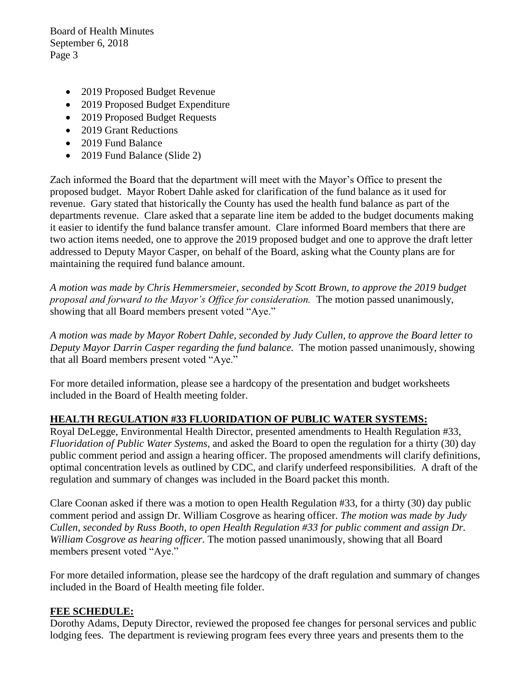- 2019 Proposed Budget Revenue
- 2019 Proposed Budget Expenditure
- 2019 Proposed Budget Requests
- 2019 Grant Reductions
- 2019 Fund Balance
- 2019 Fund Balance (Slide 2)

Zach informed the Board that the department will meet with the Mayor's Office to present the proposed budget. Mayor Robert Dahle asked for clarification of the fund balance as it used for revenue. Gary stated that historically the County has used the health fund balance as part of the departments revenue. Clare asked that a separate line item be added to the budget documents making it easier to identify the fund balance transfer amount. Clare informed Board members that there are two action items needed, one to approve the 2019 proposed budget and one to approve the draft letter addressed to Deputy Mayor Casper, on behalf of the Board, asking what the County plans are for maintaining the required fund balance amount.

*A motion was made by Chris Hemmersmeier, seconded by Scott Brown, to approve the 2019 budget proposal and forward to the Mayor's Office for consideration.* The motion passed unanimously, showing that all Board members present voted "Aye."

*A motion was made by Mayor Robert Dahle, seconded by Judy Cullen, to approve the Board letter to Deputy Mayor Darrin Casper regarding the fund balance.* The motion passed unanimously, showing that all Board members present voted "Aye."

For more detailed information, please see a hardcopy of the presentation and budget worksheets included in the Board of Health meeting folder.

# **HEALTH REGULATION #33 FLUORIDATION OF PUBLIC WATER SYSTEMS:**

Royal DeLegge, Environmental Health Director, presented amendments to Health Regulation #33, *Fluoridation of Public Water Systems,* and asked the Board to open the regulation for a thirty (30) day public comment period and assign a hearing officer. The proposed amendments will clarify definitions, optimal concentration levels as outlined by CDC, and clarify underfeed responsibilities. A draft of the regulation and summary of changes was included in the Board packet this month.

Clare Coonan asked if there was a motion to open Health Regulation #33, for a thirty (30) day public comment period and assign Dr. William Cosgrove as hearing officer. *The motion was made by Judy Cullen, seconded by Russ Booth, to open Health Regulation #33 for public comment and assign Dr. William Cosgrove as hearing officer.* The motion passed unanimously, showing that all Board members present voted "Aye."

For more detailed information, please see the hardcopy of the draft regulation and summary of changes included in the Board of Health meeting file folder.

# **FEE SCHEDULE:**

Dorothy Adams, Deputy Director, reviewed the proposed fee changes for personal services and public lodging fees. The department is reviewing program fees every three years and presents them to the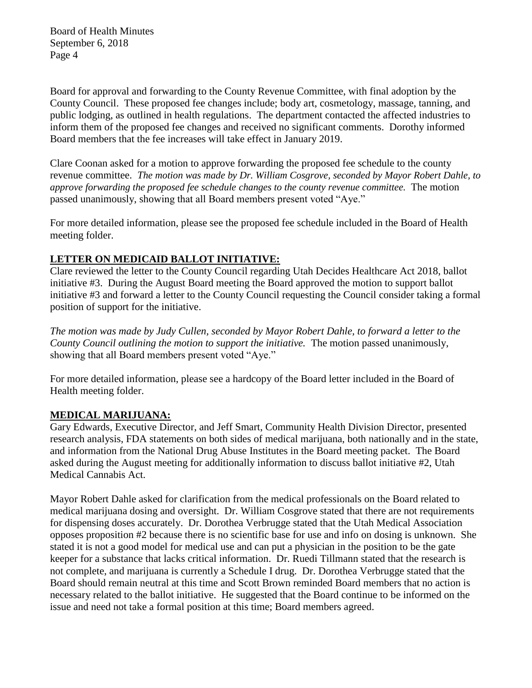Board for approval and forwarding to the County Revenue Committee, with final adoption by the County Council. These proposed fee changes include; body art, cosmetology, massage, tanning, and public lodging, as outlined in health regulations. The department contacted the affected industries to inform them of the proposed fee changes and received no significant comments. Dorothy informed Board members that the fee increases will take effect in January 2019.

Clare Coonan asked for a motion to approve forwarding the proposed fee schedule to the county revenue committee. *The motion was made by Dr. William Cosgrove, seconded by Mayor Robert Dahle, to approve forwarding the proposed fee schedule changes to the county revenue committee.* The motion passed unanimously, showing that all Board members present voted "Aye."

For more detailed information, please see the proposed fee schedule included in the Board of Health meeting folder.

# **LETTER ON MEDICAID BALLOT INITIATIVE:**

Clare reviewed the letter to the County Council regarding Utah Decides Healthcare Act 2018, ballot initiative #3. During the August Board meeting the Board approved the motion to support ballot initiative #3 and forward a letter to the County Council requesting the Council consider taking a formal position of support for the initiative.

*The motion was made by Judy Cullen, seconded by Mayor Robert Dahle, to forward a letter to the County Council outlining the motion to support the initiative.* The motion passed unanimously, showing that all Board members present voted "Aye."

For more detailed information, please see a hardcopy of the Board letter included in the Board of Health meeting folder.

# **MEDICAL MARIJUANA:**

Gary Edwards, Executive Director, and Jeff Smart, Community Health Division Director, presented research analysis, FDA statements on both sides of medical marijuana, both nationally and in the state, and information from the National Drug Abuse Institutes in the Board meeting packet. The Board asked during the August meeting for additionally information to discuss ballot initiative #2, Utah Medical Cannabis Act.

Mayor Robert Dahle asked for clarification from the medical professionals on the Board related to medical marijuana dosing and oversight. Dr. William Cosgrove stated that there are not requirements for dispensing doses accurately. Dr. Dorothea Verbrugge stated that the Utah Medical Association opposes proposition #2 because there is no scientific base for use and info on dosing is unknown. She stated it is not a good model for medical use and can put a physician in the position to be the gate keeper for a substance that lacks critical information. Dr. Ruedi Tillmann stated that the research is not complete, and marijuana is currently a Schedule I drug. Dr. Dorothea Verbrugge stated that the Board should remain neutral at this time and Scott Brown reminded Board members that no action is necessary related to the ballot initiative. He suggested that the Board continue to be informed on the issue and need not take a formal position at this time; Board members agreed.